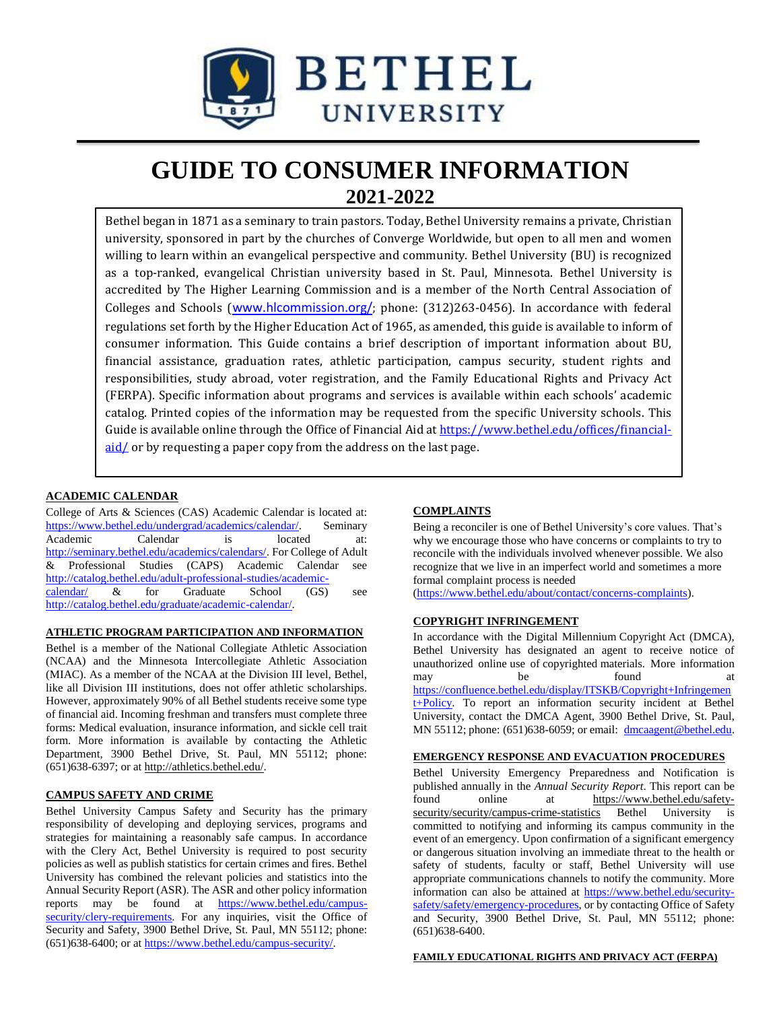

# **GUIDE TO CONSUMER INFORMATION 2021-2022**

Bethel began in 1871 as a seminary to train pastors. Today, Bethel University remains a private, Christian university, sponsored in part by the churches of Converge Worldwide, but open to all men and women willing to learn within an evangelical perspective and community. Bethel University (BU) is recognized as a top-ranked, evangelical Christian university based in St. Paul, Minnesota. Bethel University is accredited by The Higher Learning Commission and is a member of the North Central Association of Colleges and Schools ([www.hlcommission.org/](http://www.hlcommission.org/); phone: (312)263-0456). In accordance with federal regulations set forth by the Higher Education Act of 1965, as amended, this guide is available to inform of consumer information. This Guide contains a brief description of important information about BU, financial assistance, graduation rates, athletic participation, campus security, student rights and responsibilities, study abroad, voter registration, and the Family Educational Rights and Privacy Act (FERPA). Specific information about programs and services is available within each schools' academic catalog. Printed copies of the information may be requested from the specific University schools. This Guide is available online through the Office of Financial Aid at [https://www.bethel.edu/offices/financial](https://www.bethel.edu/offices/financial-aid/) $aid/$  or by requesting a paper copy from the address on the last page.

## **ACADEMIC CALENDAR**

College of Arts & Sciences (CAS) Academic Calendar is located at: [https://www.bethel.edu/undergrad/academics/calendar/.](https://www.bethel.edu/undergrad/academics/calendar/) Seminary Academic Calendar is located at: [http://seminary.bethel.edu/academics/calendars/.](http://seminary.bethel.edu/academics/calendars/) For College of Adult & Professional Studies (CAPS) Academic Calendar see [http://catalog.bethel.edu/adult-professional-studies/academic](http://catalog.bethel.edu/adult-professional-studies/academic-calendar/)[calendar/](http://catalog.bethel.edu/adult-professional-studies/academic-calendar/) & for Graduate School (GS) see [http://catalog.bethel.edu/graduate/academic-calendar/.](http://catalog.bethel.edu/graduate/academic-calendar/)

## **ATHLETIC PROGRAM PARTICIPATION AND INFORMATION**

Bethel is a member of the National Collegiate Athletic Association (NCAA) and the Minnesota Intercollegiate Athletic Association (MIAC). As a member of the NCAA at the Division III level, Bethel, like all Division III institutions, does not offer athletic scholarships. However, approximately 90% of all Bethel students receive some type of financial aid. Incoming freshman and transfers must complete three forms: Medical evaluation, insurance information, and sickle cell trait form. More information is available by contacting the Athletic Department, 3900 Bethel Drive, St. Paul, MN 55112; phone: (651)638-6397; or at [http://athletics.bethel.edu/.](http://athletics.bethel.edu/)

#### **CAMPUS SAFETY AND CRIME**

Bethel University Campus Safety and Security has the primary responsibility of developing and deploying services, programs and strategies for maintaining a reasonably safe campus. In accordance with the Clery Act, Bethel University is required to post security policies as well as publish statistics for certain crimes and fires. Bethel University has combined the relevant policies and statistics into the Annual Security Report (ASR). The ASR and other policy information reports may be found at [https://www.bethel.edu/campus](https://www.bethel.edu/campus-security/clery-requirements)[security/clery-requirements.](https://www.bethel.edu/campus-security/clery-requirements) For any inquiries, visit the Office of Security and Safety, 3900 Bethel Drive, St. Paul, MN 55112; phone: (651)638-6400; or a[t https://www.bethel.edu/campus-security/.](https://www.bethel.edu/campus-security/)

#### **COMPLAINTS**

Being a reconciler is one of Bethel University's core values. That's why we encourage those who have concerns or complaints to try to reconcile with the individuals involved whenever possible. We also recognize that we live in an imperfect world and sometimes a more formal complaint process is needed

[\(https://www.bethel.edu/about/contact/concerns-complaints\)](https://www.bethel.edu/about/contact/concerns-complaints).

## **COPYRIGHT INFRINGEMENT**

In accordance with the Digital Millennium Copyright Act (DMCA), Bethel University has designated an agent to receive notice of unauthorized online use of copyrighted materials. More information may be found at [https://confluence.bethel.edu/display/ITSKB/Copyright+Infringemen](https://confluence.bethel.edu/display/ITSKB/Copyright+Infringement+Policy) [t+Policy.](https://confluence.bethel.edu/display/ITSKB/Copyright+Infringement+Policy) To report an information security incident at Bethel University, contact the DMCA Agent, 3900 Bethel Drive, St. Paul, MN 55112; phone: (651)638-6059; or email: [dmcaagent@bethel.edu.](mailto:dmcaagent@bethel.edu)

#### **EMERGENCY RESPONSE AND EVACUATION PROCEDURES**

Bethel University Emergency Preparedness and Notification is published annually in the *Annual Security Report*. This report can be found online at [https://www.bethel.edu/safety](https://www.bethel.edu/safety-security/security/campus-crime-statistics)[security/security/campus-crime-statistics](https://www.bethel.edu/safety-security/security/campus-crime-statistics) Bethel University is committed to notifying and informing its campus community in the event of an emergency. Upon confirmation of a significant emergency or dangerous situation involving an immediate threat to the health or safety of students, faculty or staff, Bethel University will use appropriate communications channels to notify the community. More information can also be attained at [https://www.bethel.edu/security](https://www.bethel.edu/security-safety/safety/emergency-procedures)[safety/safety/emergency-procedures,](https://www.bethel.edu/security-safety/safety/emergency-procedures) or by contacting Office of Safety and Security, 3900 Bethel Drive, St. Paul, MN 55112; phone: (651)638-6400.

#### **FAMILY EDUCATIONAL RIGHTS AND PRIVACY ACT (FERPA)**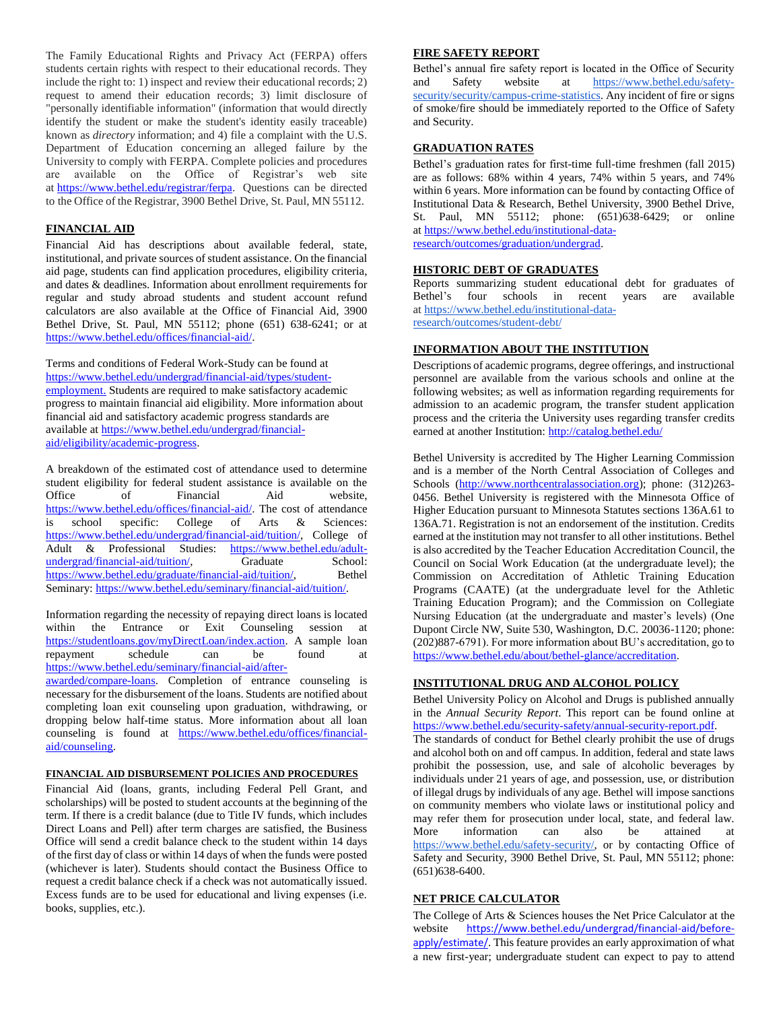The Family Educational Rights and Privacy Act (FERPA) offers students certain rights with respect to their educational records. They include the right to: 1) inspect and review their educational records; 2) request to amend their education records; 3) limit disclosure of "personally identifiable information" (information that would directly identify the student or make the student's identity easily traceable) known as *directory* information; and 4) file a complaint with the U.S. Department of Education concerning an alleged failure by the University to comply with FERPA. Complete policies and procedures are available on the Office of Registrar's web site at [https://www.bethel.edu/registrar/ferpa.](https://www.bethel.edu/registrar/ferpa) Questions can be directed to the Office of the Registrar, 3900 Bethel Drive, St. Paul, MN 55112.

## **FINANCIAL AID**

Financial Aid has descriptions about available federal, state, institutional, and private sources of student assistance. On the financial aid page, students can find application procedures, eligibility criteria, and dates & deadlines. Information about enrollment requirements for regular and study abroad students and student account refund calculators are also available at the Office of Financial Aid, 3900 Bethel Drive, St. Paul, MN 55112; phone (651) 638-6241; or at [https://www.bethel.edu/offices/financial-aid/.](https://www.bethel.edu/offices/financial-aid/)

Terms and conditions of Federal Work-Study can be found at [https://www.bethel.edu/undergrad/financial-aid/types/student](https://www.bethel.edu/undergrad/financial-aid/types/student-employment.)[employment.](https://www.bethel.edu/undergrad/financial-aid/types/student-employment.) Students are required to make satisfactory academic progress to maintain financial aid eligibility. More information about financial aid and satisfactory academic progress standards are available a[t https://www.bethel.edu/undergrad/financial](https://www.bethel.edu/undergrad/financial-aid/eligibility/academic-progress)[aid/eligibility/academic-progress.](https://www.bethel.edu/undergrad/financial-aid/eligibility/academic-progress)

A breakdown of the estimated cost of attendance used to determine student eligibility for federal student assistance is available on the Office of Financial Aid website, [https://www.bethel.edu/offices/financial-aid/.](https://www.bethel.edu/offices/financial-aid/) The cost of attendance is school specific: College of Arts & Sciences: [https://www.bethel.edu/undergrad/financial-aid/tuition/,](https://www.bethel.edu/undergrad/financial-aid/tuition/) College of Adult & Professional Studies: [https://www.bethel.edu/adult](https://www.bethel.edu/adult-undergrad/financial-aid/tuition/)[undergrad/financial-aid/tuition/,](https://www.bethel.edu/adult-undergrad/financial-aid/tuition/) Graduate School: [https://www.bethel.edu/graduate/financial-aid/tuition/,](https://www.bethel.edu/graduate/financial-aid/tuition/) Bethel Seminary: [https://www.bethel.edu/seminary/financial-aid/tuition/.](https://www.bethel.edu/seminary/financial-aid/tuition/)

Information regarding the necessity of repaying direct loans is located within the Entrance or Exit Counseling session at [https://studentloans.gov/myDirectLoan/index.action.](https://studentloans.gov/myDirectLoan/index.action) A sample loan repayment schedule can be found at [https://www.bethel.edu/seminary/financial-aid/after-](https://www.bethel.edu/seminary/financial-aid/after-awarded/compare-loans)

[awarded/compare-loans.](https://www.bethel.edu/seminary/financial-aid/after-awarded/compare-loans) Completion of entrance counseling is necessary for the disbursement of the loans. Students are notified about completing loan exit counseling upon graduation, withdrawing, or dropping below half-time status. More information about all loan counseling is found at [https://www.bethel.edu/offices/financial](https://www.bethel.edu/offices/financial-aid/counseling)[aid/counseling.](https://www.bethel.edu/offices/financial-aid/counseling)

#### **FINANCIAL AID DISBURSEMENT POLICIES AND PROCEDURES**

Financial Aid (loans, grants, including Federal Pell Grant, and scholarships) will be posted to student accounts at the beginning of the term. If there is a credit balance (due to Title IV funds, which includes Direct Loans and Pell) after term charges are satisfied, the Business Office will send a credit balance check to the student within 14 days of the first day of class or within 14 days of when the funds were posted (whichever is later). Students should contact the Business Office to request a credit balance check if a check was not automatically issued. Excess funds are to be used for educational and living expenses (i.e. books, supplies, etc.).

## **FIRE SAFETY REPORT**

Bethel's annual fire safety report is located in the Office of Security and Safety website at [https://www.bethel.edu/safety](https://www.bethel.edu/safety-security/security/campus-crime-statistics)[security/security/campus-crime-statistics.](https://www.bethel.edu/safety-security/security/campus-crime-statistics) Any incident of fire or signs of smoke/fire should be immediately reported to the Office of Safety and Security.

## **GRADUATION RATES**

Bethel's graduation rates for first-time full-time freshmen (fall 2015) are as follows: 68% within 4 years, 74% within 5 years, and 74% within 6 years. More information can be found by contacting Office of Institutional Data & Research, Bethel University, 3900 Bethel Drive, St. Paul, MN 55112; phone: (651)638-6429; or online at [https://www.bethel.edu/institutional-data](https://www.bethel.edu/institutional-data-research/outcomes/graduation/undergrad)[research/outcomes/graduation/undergrad.](https://www.bethel.edu/institutional-data-research/outcomes/graduation/undergrad)

## **HISTORIC DEBT OF GRADUATES**

Reports summarizing student educational debt for graduates of Bethel's four schools in recent years are available at [https://www.bethel.edu/institutional-data](https://www.bethel.edu/institutional-data-research/outcomes/student-debt/)[research/outcomes/student-debt/](https://www.bethel.edu/institutional-data-research/outcomes/student-debt/)

#### **INFORMATION ABOUT THE INSTITUTION**

Descriptions of academic programs, degree offerings, and instructional personnel are available from the various schools and online at the following websites; as well as information regarding requirements for admission to an academic program, the transfer student application process and the criteria the University uses regarding transfer credits earned at another Institution: <http://catalog.bethel.edu/>

Bethel University is accredited by The Higher Learning Commission and is a member of the North Central Association of Colleges and Schools [\(http://www.northcentralassociation.org\)](http://www.northcentralassociation.org/); phone: (312)263-0456. Bethel University is registered with the Minnesota Office of Higher Education pursuant to Minnesota Statutes sections 136A.61 to 136A.71. Registration is not an endorsement of the institution. Credits earned at the institution may not transfer to all other institutions. Bethel is also accredited by the Teacher Education Accreditation Council, the Council on Social Work Education (at the undergraduate level); the Commission on Accreditation of Athletic Training Education Programs (CAATE) (at the undergraduate level for the Athletic Training Education Program); and the Commission on Collegiate Nursing Education (at the undergraduate and master's levels) (One Dupont Circle NW, Suite 530, Washington, D.C. 20036-1120; phone: (202)887-6791). For more information about BU's accreditation, go to [https://www.bethel.edu/about/bethel-glance/accreditation.](https://www.bethel.edu/about/bethel-glance/accreditation)

#### **INSTITUTIONAL DRUG AND ALCOHOL POLICY**

Bethel University Policy on Alcohol and Drugs is published annually in the *Annual Security Report*. This report can be found online at [https://www.bethel.edu/security-safety/annual-security-report.pdf.](https://www.bethel.edu/security-safety/annual-security-report.pdf) The standards of conduct for Bethel clearly prohibit the use of drugs and alcohol both on and off campus. In addition, federal and state laws prohibit the possession, use, and sale of alcoholic beverages by individuals under 21 years of age, and possession, use, or distribution of illegal drugs by individuals of any age. Bethel will impose sanctions on community members who violate laws or institutional policy and may refer them for prosecution under local, state, and federal law. More information can also be attained at [https://www.bethel.edu/safety-security/,](https://www.bethel.edu/safety-security/) or by contacting Office of Safety and Security, 3900 Bethel Drive, St. Paul, MN 55112; phone: (651)638-6400.

## **NET PRICE CALCULATOR**

The College of Arts & Sciences houses the Net Price Calculator at the website [https://www.bethel.edu/undergrad/financial-aid/before](https://www.bethel.edu/undergrad/financial-aid/before-apply/estimate/)[apply/estimate/](https://www.bethel.edu/undergrad/financial-aid/before-apply/estimate/). This feature provides an early approximation of what a new first-year; undergraduate student can expect to pay to attend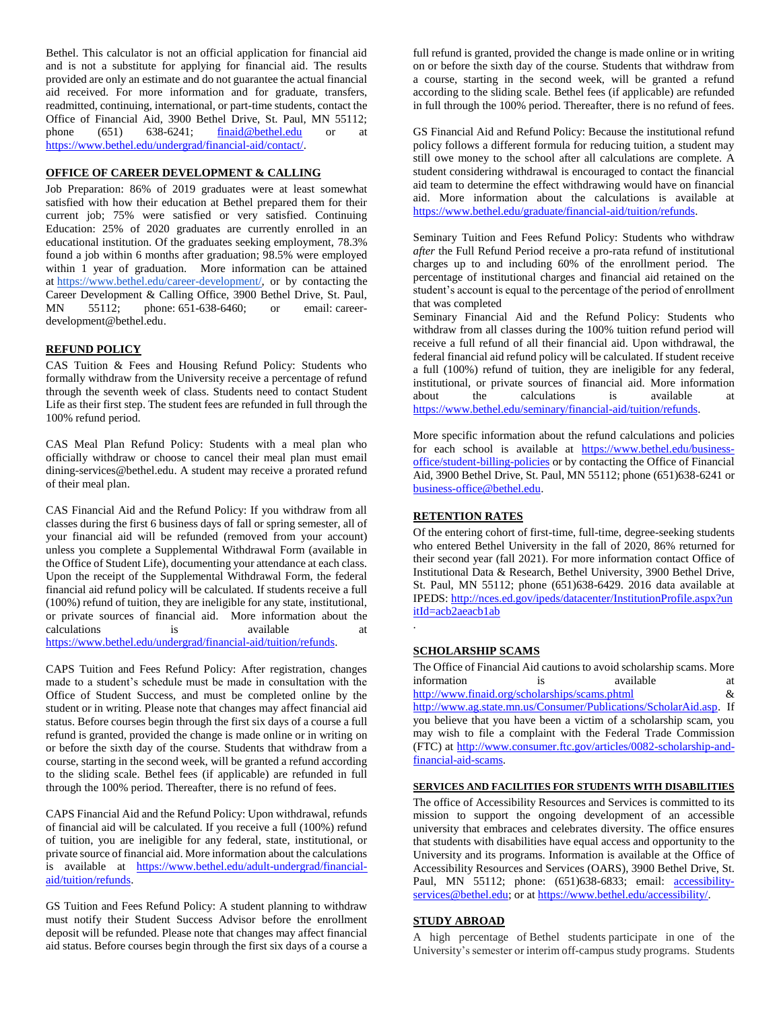Bethel. This calculator is not an official application for financial aid and is not a substitute for applying for financial aid. The results provided are only an estimate and do not guarantee the actual financial aid received. For more information and for graduate, transfers, readmitted, continuing, international, or part-time students, contact the Office of Financial Aid, 3900 Bethel Drive, St. Paul, MN 55112; phone (651) 638-6241; [finaid@bethel.edu](mailto:finaid@bethel.edu) or at [https://www.bethel.edu/undergrad/financial-aid/contact/.](https://www.bethel.edu/undergrad/financial-aid/contact/)

## **OFFICE OF CAREER DEVELOPMENT & CALLING**

Job Preparation: 86% of 2019 graduates were at least somewhat satisfied with how their education at Bethel prepared them for their current job; 75% were satisfied or very satisfied. Continuing Education: 25% of 2020 graduates are currently enrolled in an educational institution. Of the graduates seeking employment, 78.3% found a job within 6 months after graduation; 98.5% were employed within 1 year of graduation. More information can be attained at [https://www.bethel.edu/career-development/,](https://www.bethel.edu/career-development/) or by contacting the Career Development & Calling Office, 3900 Bethel Drive, St. Paul, MN 55112; phone: [651-638-6460;](tel:651-638-6460) or email: [career](mailto:career-development@bethel.edu)[development@bethel.edu.](mailto:career-development@bethel.edu)

#### **REFUND POLICY**

CAS Tuition & Fees and Housing Refund Policy: Students who formally withdraw from the University receive a percentage of refund through the seventh week of class. Students need to contact Student Life as their first step. The student fees are refunded in full through the 100% refund period.

CAS Meal Plan Refund Policy: Students with a meal plan who officially withdraw or choose to cancel their meal plan must email dining-services@bethel.edu. A student may receive a prorated refund of their meal plan.

CAS Financial Aid and the Refund Policy: If you withdraw from all classes during the first 6 business days of fall or spring semester, all of your financial aid will be refunded (removed from your account) unless you complete a Supplemental Withdrawal Form (available in the Office of Student Life), documenting your attendance at each class. Upon the receipt of the Supplemental Withdrawal Form, the federal financial aid refund policy will be calculated. If students receive a full (100%) refund of tuition, they are ineligible for any state, institutional, or private sources of financial aid. More information about the calculations is available at [https://www.bethel.edu/undergrad/financial-aid/tuition/refunds.](https://www.bethel.edu/undergrad/financial-aid/tuition/refunds)

CAPS Tuition and Fees Refund Policy: After registration, changes made to a student's schedule must be made in consultation with the Office of Student Success, and must be completed online by the student or in writing. Please note that changes may affect financial aid status. Before courses begin through the first six days of a course a full refund is granted, provided the change is made online or in writing on or before the sixth day of the course. Students that withdraw from a course, starting in the second week, will be granted a refund according to the sliding scale. Bethel fees (if applicable) are refunded in full through the 100% period. Thereafter, there is no refund of fees.

CAPS Financial Aid and the Refund Policy: Upon withdrawal, refunds of financial aid will be calculated. If you receive a full (100%) refund of tuition, you are ineligible for any federal, state, institutional, or private source of financial aid. More information about the calculations is available at [https://www.bethel.edu/adult-undergrad/financial](https://www.bethel.edu/adult-undergrad/financial-aid/tuition/refunds)[aid/tuition/refunds.](https://www.bethel.edu/adult-undergrad/financial-aid/tuition/refunds)

GS Tuition and Fees Refund Policy: A student planning to withdraw must notify their Student Success Advisor before the enrollment deposit will be refunded. Please note that changes may affect financial aid status. Before courses begin through the first six days of a course a

full refund is granted, provided the change is made online or in writing on or before the sixth day of the course. Students that withdraw from a course, starting in the second week, will be granted a refund according to the sliding scale. Bethel fees (if applicable) are refunded in full through the 100% period. Thereafter, there is no refund of fees.

GS Financial Aid and Refund Policy: Because the institutional refund policy follows a different formula for reducing tuition, a student may still owe money to the school after all calculations are complete. A student considering withdrawal is encouraged to contact the financial aid team to determine the effect withdrawing would have on financial aid. More information about the calculations is available at [https://www.bethel.edu/graduate/financial-aid/tuition/refunds.](https://www.bethel.edu/graduate/financial-aid/tuition/refunds)

Seminary Tuition and Fees Refund Policy: Students who withdraw *after* the Full Refund Period receive a pro-rata refund of institutional charges up to and including 60% of the enrollment period. The percentage of institutional charges and financial aid retained on the student's account is equal to the percentage of the period of enrollment that was completed

Seminary Financial Aid and the Refund Policy: Students who withdraw from all classes during the 100% tuition refund period will receive a full refund of all their financial aid. Upon withdrawal, the federal financial aid refund policy will be calculated. If student receive a full (100%) refund of tuition, they are ineligible for any federal, institutional, or private sources of financial aid. More information about the calculations is available at [https://www.bethel.edu/seminary/financial-aid/tuition/refunds.](https://www.bethel.edu/seminary/financial-aid/tuition/refunds)

More specific information about the refund calculations and policies for each school is available at [https://www.bethel.edu/business](https://www.bethel.edu/business-office/student-billing-policies)[office/student-billing-policies](https://www.bethel.edu/business-office/student-billing-policies) or by contacting the Office of Financial Aid, 3900 Bethel Drive, St. Paul, MN 55112; phone (651)638-6241 or [business-office@bethel.edu.](business-office@bethel.edu)

## **RETENTION RATES**

Of the entering cohort of first-time, full-time, degree-seeking students who entered Bethel University in the fall of 2020, 86% returned for their second year (fall 2021). For more information contact Office of Institutional Data & Research, Bethel University, 3900 Bethel Drive, St. Paul, MN 55112; phone (651)638-6429. 2016 data available at IPEDS: [http://nces.ed.gov/ipeds/datacenter/InstitutionProfile.aspx?un](http://nces.ed.gov/ipeds/datacenter/InstitutionProfile.aspx?unitId=acb2aeacb1ab) itId=acb2aeacb1ab

## **SCHOLARSHIP SCAMS**

.

The Office of Financial Aid cautions to avoid scholarship scams. More information is available at <http://www.finaid.org/scholarships/scams.phtml> & [http://www.ag.state.mn.us/Consumer/Publications/ScholarAid.asp.](http://www.ag.state.mn.us/Consumer/Publications/ScholarAid.asp) If you believe that you have been a victim of a scholarship scam, you may wish to file a complaint with the Federal Trade Commission (FTC) at [http://www.consumer.ftc.gov/articles/0082-scholarship-and](http://www.consumer.ftc.gov/articles/0082-scholarship-and-financial-aid-scams)[financial-aid-scams.](http://www.consumer.ftc.gov/articles/0082-scholarship-and-financial-aid-scams)

#### **SERVICES AND FACILITIES FOR STUDENTS WITH DISABILITIES**

The office of Accessibility Resources and Services is committed to its mission to support the ongoing development of an accessible university that embraces and celebrates diversity. The office ensures that students with disabilities have equal access and opportunity to the University and its programs. Information is available at the Office of Accessibility Resources and Services (OARS), 3900 Bethel Drive, St. Paul, MN 55112; phone: (651)638-6833; email: **accessibility**[services@bethel.edu;](mailto:disability-services@bethel.edu) or at [https://www.bethel.edu/accessibility/.](https://www.bethel.edu/accessibility/)

# **STUDY ABROAD**

A high percentage of Bethel students participate in one of the University's semester or interim off-campus study programs. Students